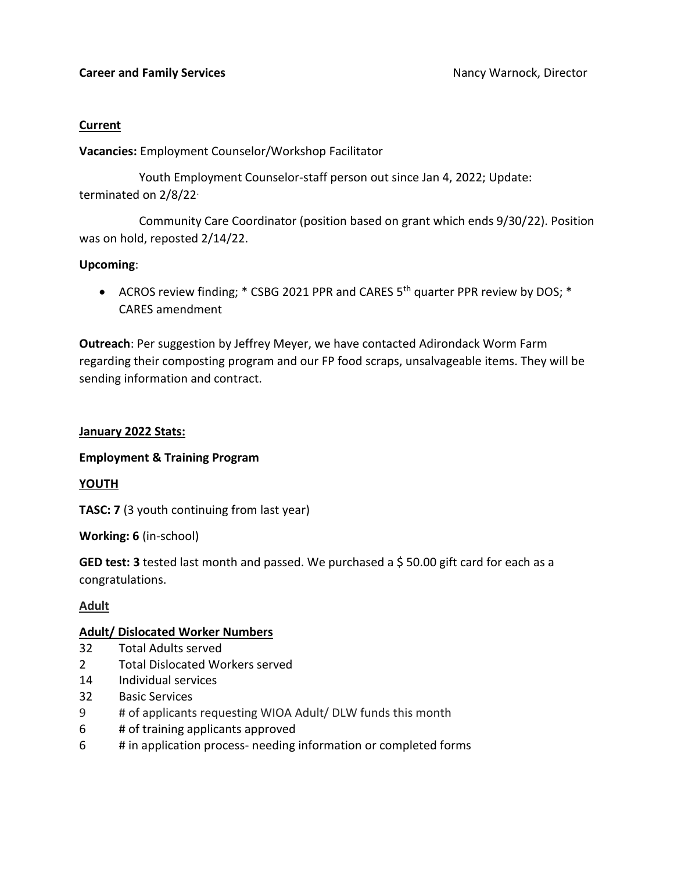### **Current**

**Vacancies:** Employment Counselor/Workshop Facilitator

 Youth Employment Counselor-staff person out since Jan 4, 2022; Update: terminated on 2/8/22.

 Community Care Coordinator (position based on grant which ends 9/30/22). Position was on hold, reposted 2/14/22.

### **Upcoming**:

• ACROS review finding; \* CSBG 2021 PPR and CARES 5<sup>th</sup> quarter PPR review by DOS; \* CARES amendment

**Outreach**: Per suggestion by Jeffrey Meyer, we have contacted Adirondack Worm Farm regarding their composting program and our FP food scraps, unsalvageable items. They will be sending information and contract.

### **January 2022 Stats:**

### **Employment & Training Program**

# **YOUTH**

**TASC: 7** (3 youth continuing from last year)

**Working: 6** (in-school)

**GED test: 3** tested last month and passed. We purchased a \$50.00 gift card for each as a congratulations.

# **Adult**

## **Adult/ Dislocated Worker Numbers**

- 32 Total Adults served
- 2 Total Dislocated Workers served
- 14 Individual services
- 32 Basic Services
- 9 # of applicants requesting WIOA Adult/ DLW funds this month
- 6 # of training applicants approved
- 6 # in application process- needing information or completed forms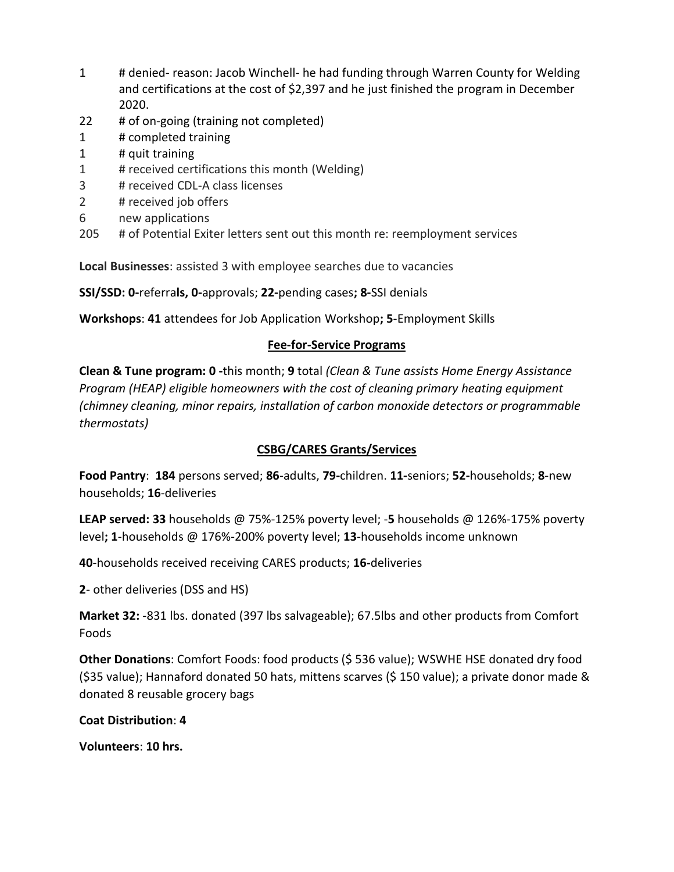- 1 # denied- reason: Jacob Winchell- he had funding through Warren County for Welding and certifications at the cost of \$2,397 and he just finished the program in December 2020.
- 22 # of on-going (training not completed)
- 1 # completed training
- 1 # quit training
- 1 # received certifications this month (Welding)
- 3 # received CDL-A class licenses
- 2 # received job offers
- 6 new applications
- 205 # of Potential Exiter letters sent out this month re: reemployment services

**Local Businesses**: assisted 3 with employee searches due to vacancies

**SSI/SSD: 0-**referra**ls, 0-**approvals; **22-**pending cases**; 8-**SSI denials

**Workshops**: **41** attendees for Job Application Workshop**; 5**-Employment Skills

# **Fee-for-Service Programs**

**Clean & Tune program: 0 -**this month; **9** total *(Clean & Tune assists Home Energy Assistance Program (HEAP) eligible homeowners with the cost of cleaning primary heating equipment (chimney cleaning, minor repairs, installation of carbon monoxide detectors or programmable thermostats)* 

# **CSBG/CARES Grants/Services**

**Food Pantry**: **184** persons served; **86**-adults, **79-**children. **11-**seniors; **52-**households; **8**-new households; **16**-deliveries

**LEAP served: 33** households @ 75%-125% poverty level; -**5** households @ 126%-175% poverty level**; 1**-households @ 176%-200% poverty level; **13**-households income unknown

**40**-households received receiving CARES products; **16-**deliveries

**2**- other deliveries (DSS and HS)

**Market 32:** -831 lbs. donated (397 lbs salvageable); 67.5lbs and other products from Comfort Foods

**Other Donations**: Comfort Foods: food products (\$ 536 value); WSWHE HSE donated dry food (\$35 value); Hannaford donated 50 hats, mittens scarves (\$ 150 value); a private donor made & donated 8 reusable grocery bags

**Coat Distribution**: **4**

**Volunteers**: **10 hrs.**